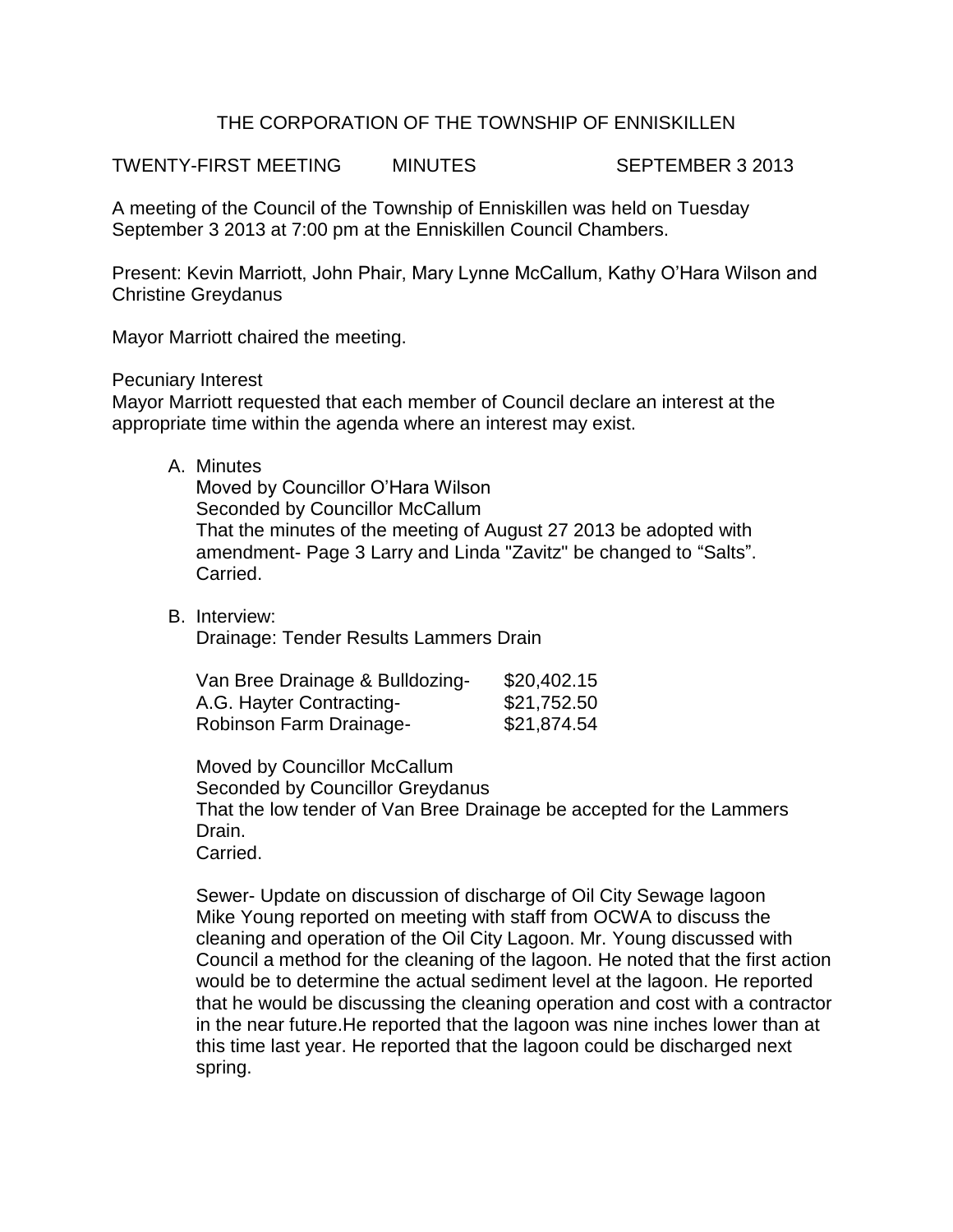## THE CORPORATION OF THE TOWNSHIP OF ENNISKILLEN

TWENTY-FIRST MEETING MINUTES SEPTEMBER 3 2013

A meeting of the Council of the Township of Enniskillen was held on Tuesday September 3 2013 at 7:00 pm at the Enniskillen Council Chambers.

Present: Kevin Marriott, John Phair, Mary Lynne McCallum, Kathy O'Hara Wilson and Christine Greydanus

Mayor Marriott chaired the meeting.

Pecuniary Interest

Mayor Marriott requested that each member of Council declare an interest at the appropriate time within the agenda where an interest may exist.

A. Minutes

Moved by Councillor O'Hara Wilson Seconded by Councillor McCallum That the minutes of the meeting of August 27 2013 be adopted with amendment- Page 3 Larry and Linda "Zavitz" be changed to "Salts". Carried.

B. Interview: Drainage: Tender Results Lammers Drain

| Van Bree Drainage & Bulldozing- | \$20,402.15 |
|---------------------------------|-------------|
| A.G. Hayter Contracting-        | \$21,752.50 |
| Robinson Farm Drainage-         | \$21,874.54 |

Moved by Councillor McCallum Seconded by Councillor Greydanus That the low tender of Van Bree Drainage be accepted for the Lammers Drain. Carried.

Sewer- Update on discussion of discharge of Oil City Sewage lagoon Mike Young reported on meeting with staff from OCWA to discuss the cleaning and operation of the Oil City Lagoon. Mr. Young discussed with Council a method for the cleaning of the lagoon. He noted that the first action would be to determine the actual sediment level at the lagoon. He reported that he would be discussing the cleaning operation and cost with a contractor in the near future.He reported that the lagoon was nine inches lower than at this time last year. He reported that the lagoon could be discharged next spring.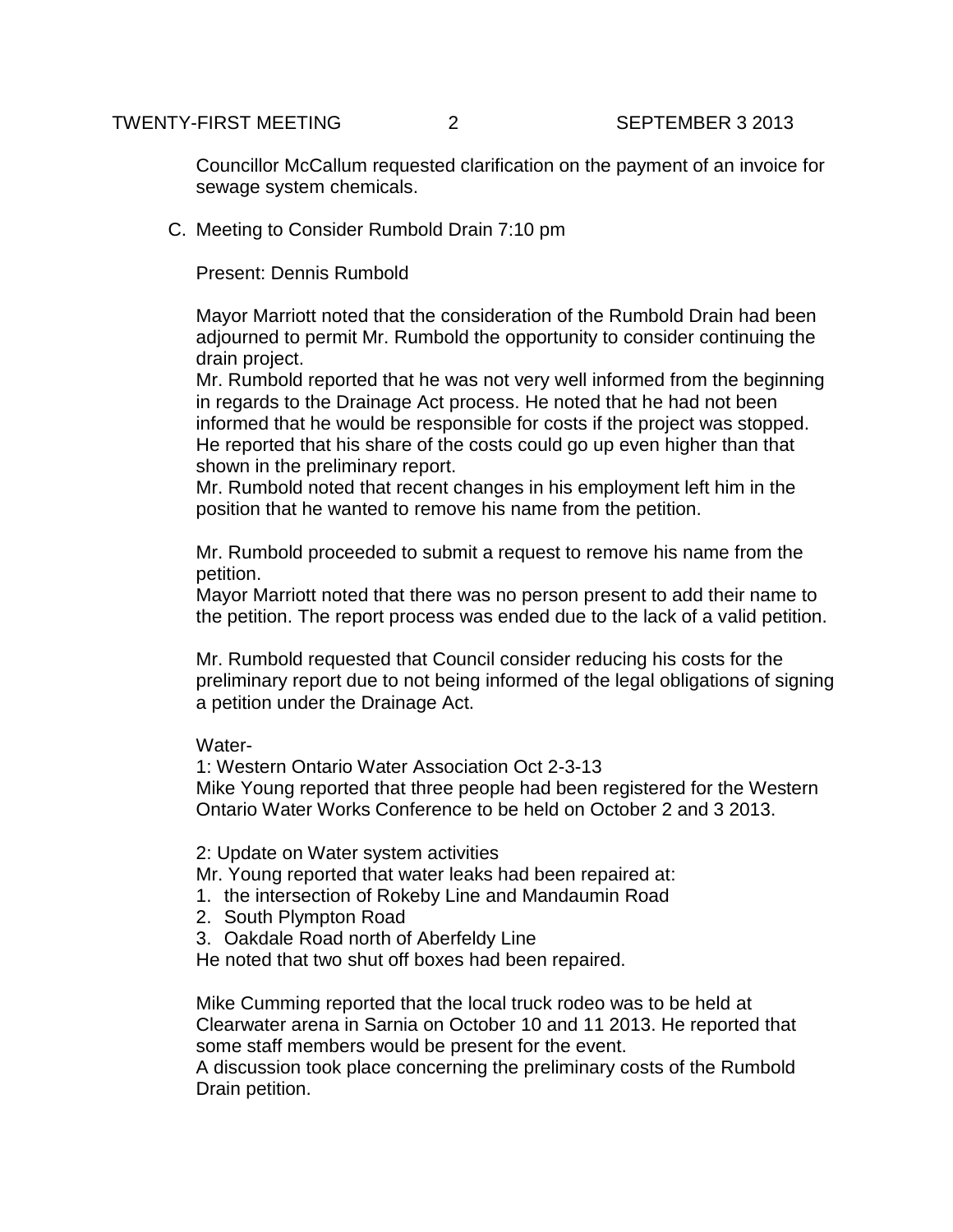Councillor McCallum requested clarification on the payment of an invoice for sewage system chemicals.

C. Meeting to Consider Rumbold Drain 7:10 pm

Present: Dennis Rumbold

Mayor Marriott noted that the consideration of the Rumbold Drain had been adjourned to permit Mr. Rumbold the opportunity to consider continuing the drain project.

Mr. Rumbold reported that he was not very well informed from the beginning in regards to the Drainage Act process. He noted that he had not been informed that he would be responsible for costs if the project was stopped. He reported that his share of the costs could go up even higher than that shown in the preliminary report.

Mr. Rumbold noted that recent changes in his employment left him in the position that he wanted to remove his name from the petition.

Mr. Rumbold proceeded to submit a request to remove his name from the petition.

Mayor Marriott noted that there was no person present to add their name to the petition. The report process was ended due to the lack of a valid petition.

Mr. Rumbold requested that Council consider reducing his costs for the preliminary report due to not being informed of the legal obligations of signing a petition under the Drainage Act.

## Water-

1: Western Ontario Water Association Oct 2-3-13 Mike Young reported that three people had been registered for the Western Ontario Water Works Conference to be held on October 2 and 3 2013.

2: Update on Water system activities

Mr. Young reported that water leaks had been repaired at:

- 1. the intersection of Rokeby Line and Mandaumin Road
- 2. South Plympton Road
- 3. Oakdale Road north of Aberfeldy Line

He noted that two shut off boxes had been repaired.

Mike Cumming reported that the local truck rodeo was to be held at Clearwater arena in Sarnia on October 10 and 11 2013. He reported that some staff members would be present for the event.

A discussion took place concerning the preliminary costs of the Rumbold Drain petition.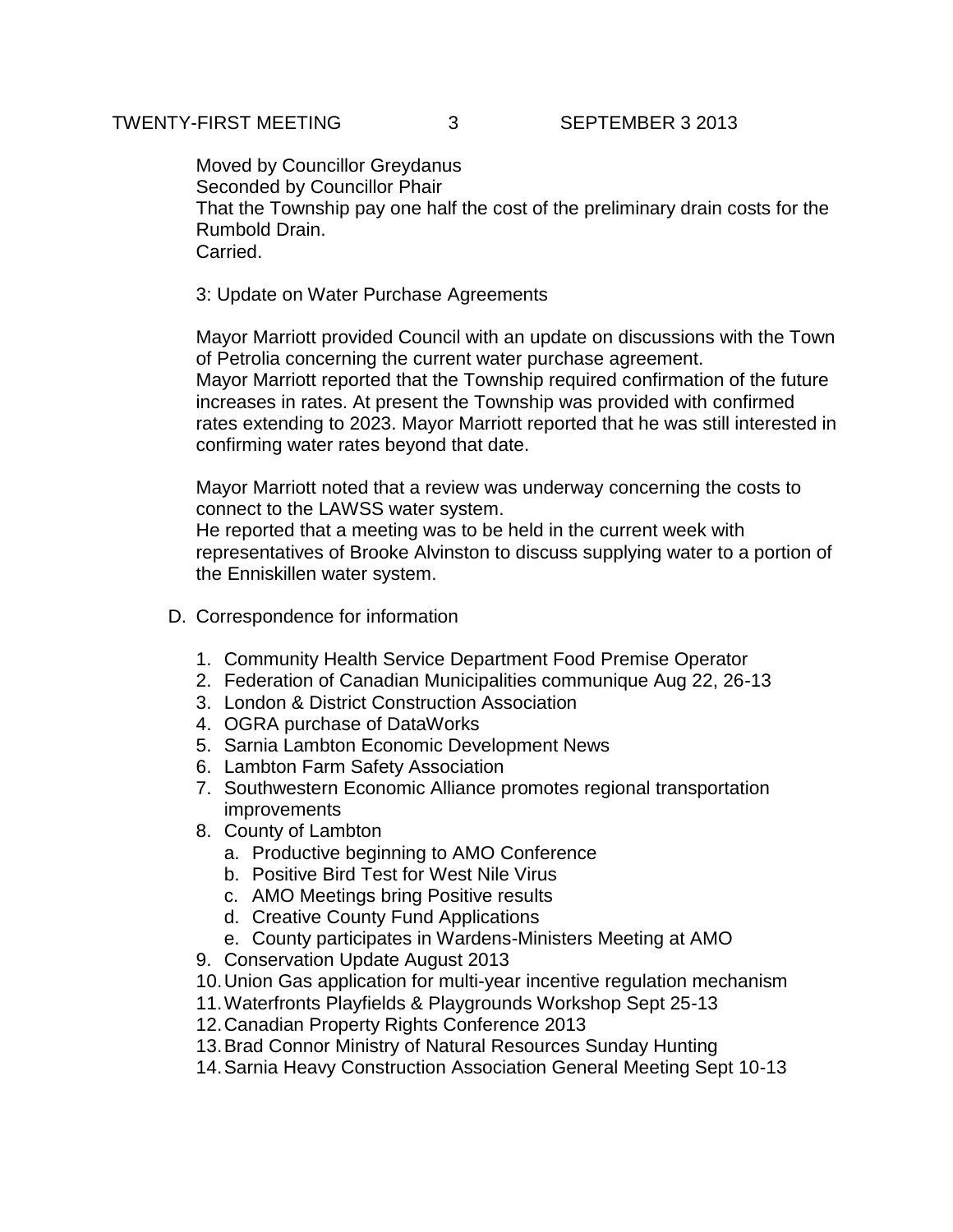Moved by Councillor Greydanus Seconded by Councillor Phair That the Township pay one half the cost of the preliminary drain costs for the Rumbold Drain. Carried.

## 3: Update on Water Purchase Agreements

Mayor Marriott provided Council with an update on discussions with the Town of Petrolia concerning the current water purchase agreement. Mayor Marriott reported that the Township required confirmation of the future increases in rates. At present the Township was provided with confirmed rates extending to 2023. Mayor Marriott reported that he was still interested in confirming water rates beyond that date.

Mayor Marriott noted that a review was underway concerning the costs to connect to the LAWSS water system. He reported that a meeting was to be held in the current week with representatives of Brooke Alvinston to discuss supplying water to a portion of the Enniskillen water system.

- D. Correspondence for information
	- 1. Community Health Service Department Food Premise Operator
	- 2. Federation of Canadian Municipalities communique Aug 22, 26-13
	- 3. London & District Construction Association
	- 4. OGRA purchase of DataWorks
	- 5. Sarnia Lambton Economic Development News
	- 6. Lambton Farm Safety Association
	- 7. Southwestern Economic Alliance promotes regional transportation improvements
	- 8. County of Lambton
		- a. Productive beginning to AMO Conference
		- b. Positive Bird Test for West Nile Virus
		- c. AMO Meetings bring Positive results
		- d. Creative County Fund Applications
		- e. County participates in Wardens-Ministers Meeting at AMO
	- 9. Conservation Update August 2013
	- 10.Union Gas application for multi-year incentive regulation mechanism
	- 11.Waterfronts Playfields & Playgrounds Workshop Sept 25-13
	- 12.Canadian Property Rights Conference 2013
	- 13.Brad Connor Ministry of Natural Resources Sunday Hunting
	- 14.Sarnia Heavy Construction Association General Meeting Sept 10-13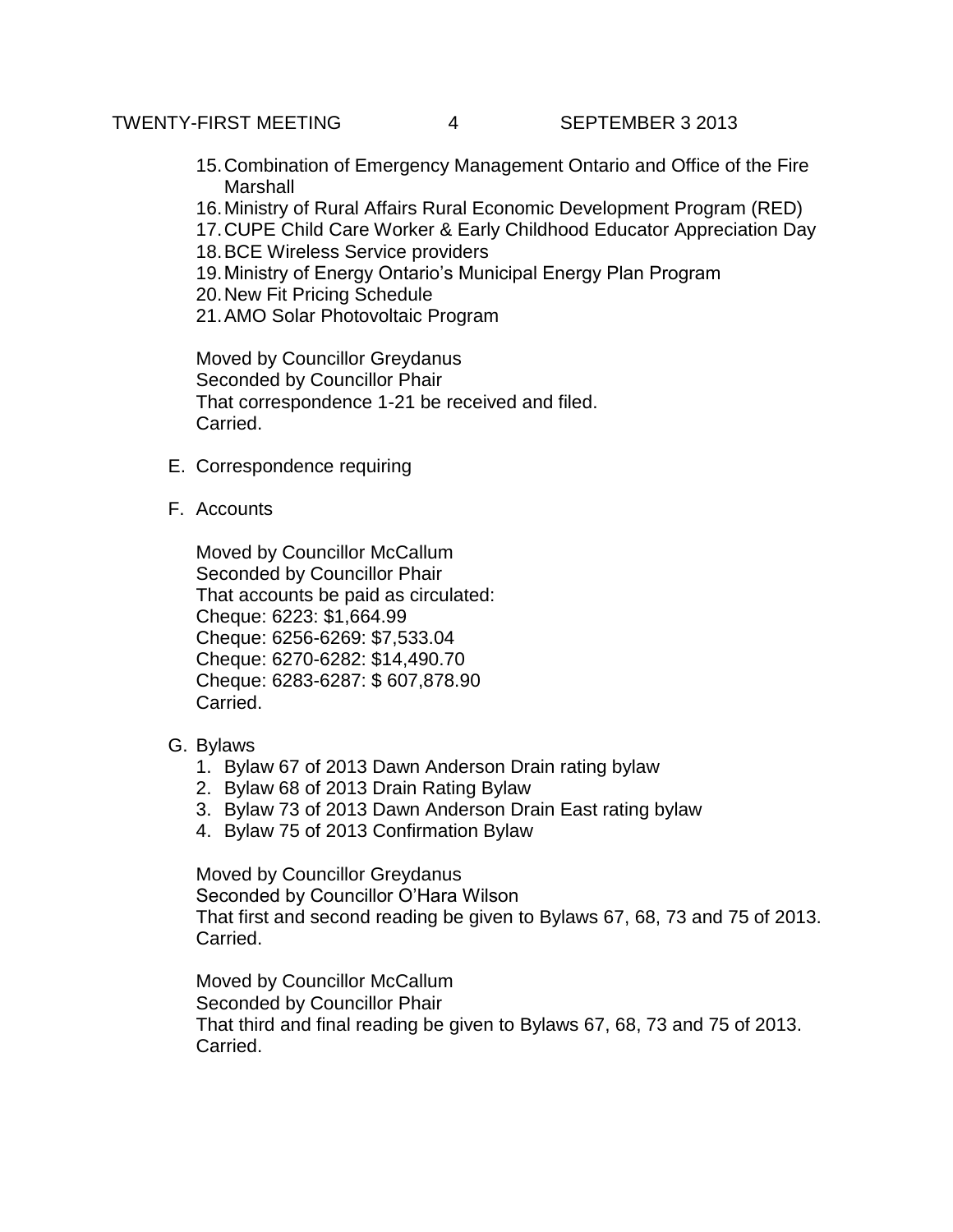- 15.Combination of Emergency Management Ontario and Office of the Fire **Marshall**
- 16.Ministry of Rural Affairs Rural Economic Development Program (RED)
- 17.CUPE Child Care Worker & Early Childhood Educator Appreciation Day
- 18.BCE Wireless Service providers
- 19.Ministry of Energy Ontario's Municipal Energy Plan Program
- 20.New Fit Pricing Schedule
- 21.AMO Solar Photovoltaic Program

Moved by Councillor Greydanus Seconded by Councillor Phair That correspondence 1-21 be received and filed. Carried.

- E. Correspondence requiring
- F. Accounts

Moved by Councillor McCallum Seconded by Councillor Phair That accounts be paid as circulated: Cheque: 6223: \$1,664.99 Cheque: 6256-6269: \$7,533.04 Cheque: 6270-6282: \$14,490.70 Cheque: 6283-6287: \$ 607,878.90 Carried.

- G. Bylaws
	- 1. Bylaw 67 of 2013 Dawn Anderson Drain rating bylaw
	- 2. Bylaw 68 of 2013 Drain Rating Bylaw
	- 3. Bylaw 73 of 2013 Dawn Anderson Drain East rating bylaw
	- 4. Bylaw 75 of 2013 Confirmation Bylaw

Moved by Councillor Greydanus

Seconded by Councillor O'Hara Wilson That first and second reading be given to Bylaws 67, 68, 73 and 75 of 2013. Carried.

Moved by Councillor McCallum Seconded by Councillor Phair That third and final reading be given to Bylaws 67, 68, 73 and 75 of 2013. Carried.